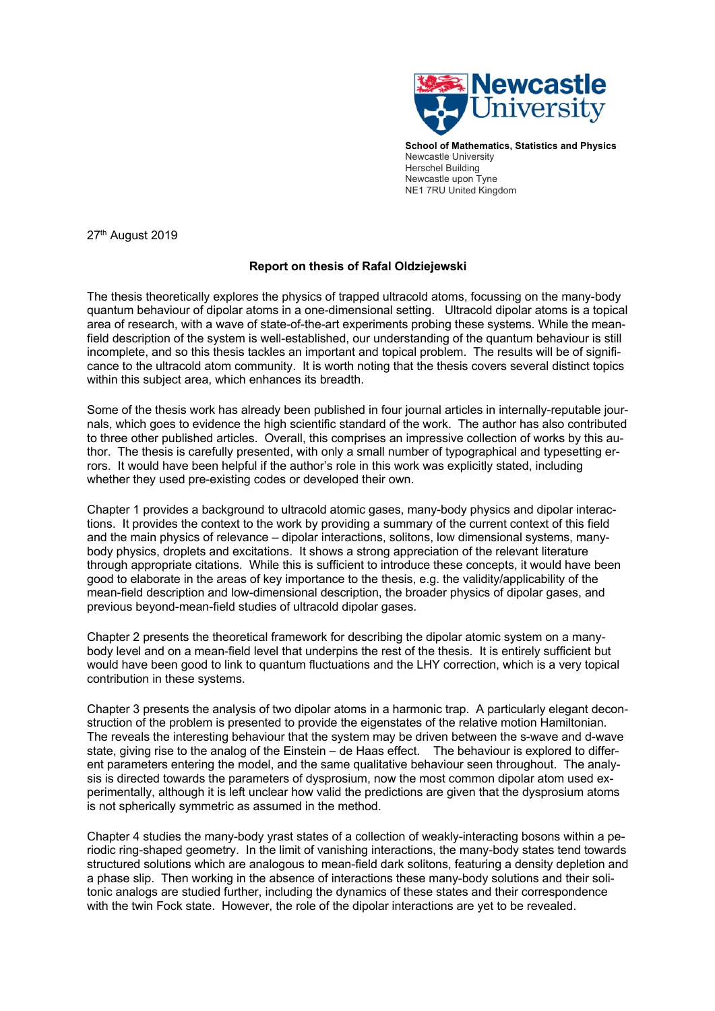

**School of Mathematics, Statistics and Physics** Newcastle University Herschel Building Newcastle upon Tyne NE1 7RU United Kingdom

27<sup>th</sup> August 2019

## **Report on thesis of Rafal Oldziejewski**

The thesis theoretically explores the physics of trapped ultracold atoms, focussing on the many-body quantum behaviour of dipolar atoms in a one-dimensional setting. Ultracold dipolar atoms is a topical area of research, with a wave of state-of-the-art experiments probing these systems. While the meanfield description of the system is well-established, our understanding of the quantum behaviour is still incomplete, and so this thesis tackles an important and topical problem. The results will be of significance to the ultracold atom community. It is worth noting that the thesis covers several distinct topics within this subject area, which enhances its breadth.

Some of the thesis work has already been published in four journal articles in internally-reputable journals, which goes to evidence the high scientific standard of the work. The author has also contributed to three other published articles. Overall, this comprises an impressive collection of works by this author. The thesis is carefully presented, with only a small number of typographical and typesetting errors. It would have been helpful if the author's role in this work was explicitly stated, including whether they used pre-existing codes or developed their own.

Chapter 1 provides a background to ultracold atomic gases, many-body physics and dipolar interactions. It provides the context to the work by providing a summary of the current context of this field and the main physics of relevance – dipolar interactions, solitons, low dimensional systems, manybody physics, droplets and excitations. It shows a strong appreciation of the relevant literature through appropriate citations. While this is sufficient to introduce these concepts, it would have been good to elaborate in the areas of key importance to the thesis, e.g. the validity/applicability of the mean-field description and low-dimensional description, the broader physics of dipolar gases, and previous beyond-mean-field studies of ultracold dipolar gases.

Chapter 2 presents the theoretical framework for describing the dipolar atomic system on a manybody level and on a mean-field level that underpins the rest of the thesis. It is entirely sufficient but would have been good to link to quantum fluctuations and the LHY correction, which is a very topical contribution in these systems.

Chapter 3 presents the analysis of two dipolar atoms in a harmonic trap. A particularly elegant deconstruction of the problem is presented to provide the eigenstates of the relative motion Hamiltonian. The reveals the interesting behaviour that the system may be driven between the s-wave and d-wave state, giving rise to the analog of the Einstein – de Haas effect. The behaviour is explored to different parameters entering the model, and the same qualitative behaviour seen throughout. The analysis is directed towards the parameters of dysprosium, now the most common dipolar atom used experimentally, although it is left unclear how valid the predictions are given that the dysprosium atoms is not spherically symmetric as assumed in the method.

Chapter 4 studies the many-body yrast states of a collection of weakly-interacting bosons within a periodic ring-shaped geometry. In the limit of vanishing interactions, the many-body states tend towards structured solutions which are analogous to mean-field dark solitons, featuring a density depletion and a phase slip. Then working in the absence of interactions these many-body solutions and their solitonic analogs are studied further, including the dynamics of these states and their correspondence with the twin Fock state. However, the role of the dipolar interactions are yet to be revealed.